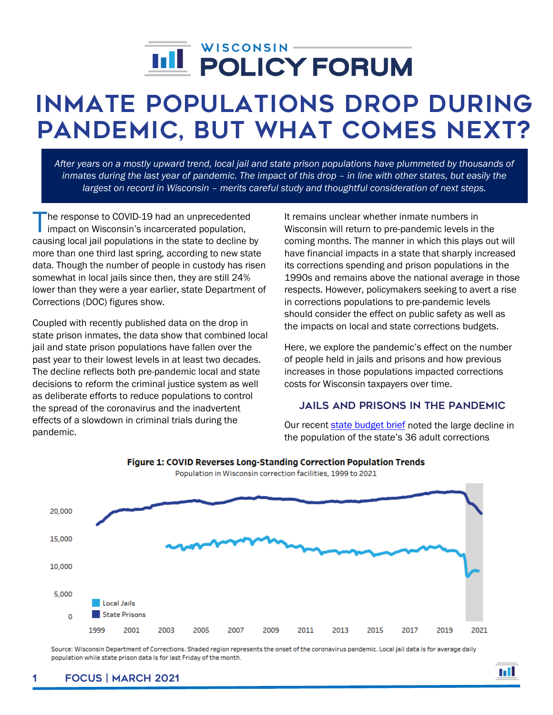# j

# Inmate Populations Drop During Pandemic, But What Comes Next?

*After years on a mostly upward trend, local jail and state prison populations have plummeted by thousands of inmates during the last year of pandemic. The impact of this drop – in line with other states, but easily the largest on record in Wisconsin – merits careful study and thoughtful consideration of next steps.*

he response to COVID-19 had an unprecedented impact on Wisconsin's incarcerated population, The response to COVID-19 had an unprecedented<br>impact on Wisconsin's incarcerated population,<br>causing local jail populations in the state to decline by more than one third last spring, according to new state data. Though the number of people in custody has risen somewhat in local jails since then, they are still 24% lower than they were a year earlier, state Department of Corrections (DOC) figures show.

Coupled with recently published data on the drop in state prison inmates, the data show that combined local jail and state prison populations have fallen over the past year to their lowest levels in at least two decades. The decline reflects both pre-pandemic local and state decisions to reform the criminal justice system as well as deliberate efforts to reduce populations to control the spread of the coronavirus and the inadvertent effects of a slowdown in criminal trials during the pandemic.

It remains unclear whether inmate numbers in Wisconsin will return to pre-pandemic levels in the coming months. The manner in which this plays out will have financial impacts in a state that sharply increased its corrections spending and prison populations in the 1990s and remains above the national average in those respects. However, policymakers seeking to avert a rise in corrections populations to pre-pandemic levels should consider the effect on public safety as well as the impacts on local and state corrections budgets.

Here, we explore the pandemic's effect on the number of people held in jails and prisons and how previous increases in those populations impacted corrections costs for Wisconsin taxpayers over time.

#### Jails and Prisons in the Pandemic

Our recent [state budget brief](https://wispolicyforum.org/wp-content/uploads/2021/03/Budget_Brief_State_2021-23.pdf) noted the large decline in the population of the state's 36 adult corrections



## Figure 1: COVID Reverses Long-Standing Correction Population Trends

Population in Wisconsin correction facilities, 1999 to 2021

Source: Wisconsin Department of Corrections. Shaded region represents the onset of the coronavirus pandemic. Local jail data is for average daily population while state prison data is for last Friday of the month.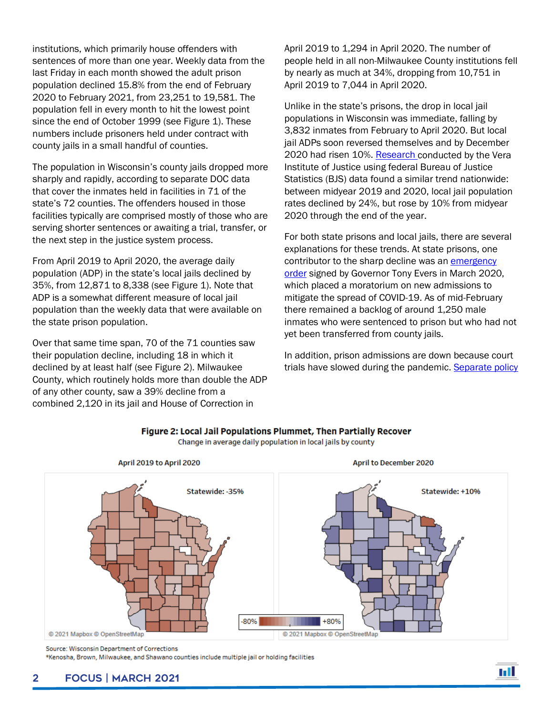institutions, which primarily house offenders with sentences of more than one year. Weekly data from the last Friday in each month showed the adult prison population declined 15.8% from the end of February 2020 to February 2021, from 23,251 to 19,581. The population fell in every month to hit the lowest point since the end of October 1999 (see Figure 1). These numbers include prisoners held under contract with county jails in a small handful of counties.

The population in Wisconsin's county jails dropped more sharply and rapidly, according to separate DOC data that cover the inmates held in facilities in 71 of the state's 72 counties. The offenders housed in those facilities typically are comprised mostly of those who are serving shorter sentences or awaiting a trial, transfer, or the next step in the justice system process.

From April 2019 to April 2020, the average daily population (ADP) in the state's local jails declined by 35%, from 12,871 to 8,338 (see Figure 1). Note that ADP is a somewhat different measure of local jail population than the weekly data that were available on the state prison population.

Over that same time span, 70 of the 71 counties saw their population decline, including 18 in which it declined by at least half (see Figure 2). Milwaukee County, which routinely holds more than double the ADP of any other county, saw a 39% decline from a combined 2,120 in its jail and House of Correction in

April 2019 to 1,294 in April 2020. The number of people held in all non-Milwaukee County institutions fell by nearly as much at 34%, dropping from 10,751 in April 2019 to 7,044 in April 2020.

Unlike in the state's prisons, the drop in local jail populations in Wisconsin was immediate, falling by 3,832 inmates from February to April 2020. But local jail ADPs soon reversed themselves and by December 2020 had risen 10%. [Research c](https://www.vera.org/downloads/publications/people-in-jail-and-prison-in-2020.pdf)onducted by the Vera Institute of Justice using federal Bureau of Justice Statistics (BJS) data found a similar trend nationwide: between midyear 2019 and 2020, local jail population rates declined by 24%, but rose by 10% from midyear 2020 through the end of the year.

For both state prisons and local jails, there are several explanations for these trends. At state prisons, one contributor to the sharp decline was an emergency [order](https://evers.wi.gov/Documents/COVID19/EMO09-DOC.pdf) signed by Governor Tony Evers in March 2020, which placed a moratorium on new admissions to mitigate the spread of COVID-19. As of mid-February there remained a backlog of around 1,250 male inmates who were sentenced to prison but who had not yet been transferred from county jails.

In addition, prison admissions are down because court trials have slowed during the pandemic. Separate policy



Figure 2: Local Jail Populations Plummet, Then Partially Recover

Change in average daily population in local jails by county

\*Kenosha, Brown, Milwaukee, and Shawano counties include multiple jail or holding facilities

Source: Wisconsin Department of Corrections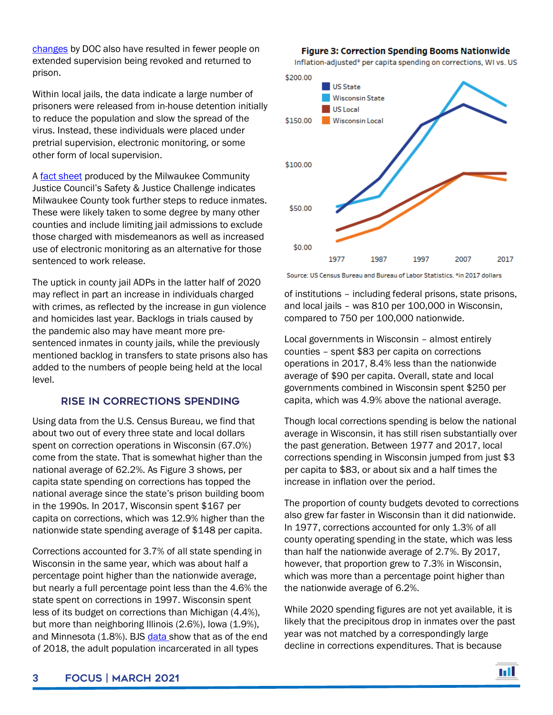[changes](https://doc.wi.gov/Pages/TownHalls/TownHallsHome.aspx) by DOC also have resulted in fewer people on extended supervision being revoked and returned to prison.

Within local jails, the data indicate a large number of prisoners were released from in-house detention initially to reduce the population and slow the spread of the virus. Instead, these individuals were placed under pretrial supervision, electronic monitoring, or some other form of local supervision.

A [fact sheet](https://www.milwaukee.gov/CJC1/Initiatives/Phase-III/FINAL2020.8.17COVIDFactSheet-MilwaukeeCounty.pdf) produced by the Milwaukee Community Justice Council's Safety & Justice Challenge indicates Milwaukee County took further steps to reduce inmates. These were likely taken to some degree by many other counties and include limiting jail admissions to exclude those charged with misdemeanors as well as increased use of electronic monitoring as an alternative for those sentenced to work release.

The uptick in county jail ADPs in the latter half of 2020 may reflect in part an increase in individuals charged with crimes, as reflected by the increase in gun violence and homicides last year. Backlogs in trials caused by the pandemic also may have meant more presentenced inmates in county jails, while the previously mentioned backlog in transfers to state prisons also has added to the numbers of people being held at the local level.

#### Rise in Corrections Spending

Using data from the U.S. Census Bureau, we find that about two out of every three state and local dollars spent on correction operations in Wisconsin (67.0%) come from the state. That is somewhat higher than the national average of 62.2%. As Figure 3 shows, per capita state spending on corrections has topped the national average since the state's prison building boom in the 1990s. In 2017, Wisconsin spent \$167 per capita on corrections, which was 12.9% higher than the nationwide state spending average of \$148 per capita.

Corrections accounted for 3.7% of all state spending in Wisconsin in the same year, which was about half a percentage point higher than the nationwide average, but nearly a full percentage point less than the 4.6% the state spent on corrections in 1997. Wisconsin spent less of its budget on corrections than Michigan (4.4%), but more than neighboring Illinois (2.6%), Iowa (1.9%), and Minnesota (1.8%). BJS [data s](https://www.bjs.gov/content/pub/pdf/cpus1718.pdf)how that as of the end of 2018, the adult population incarcerated in all types

**Figure 3: Correction Spending Booms Nationwide** 

Inflation-adjusted\* per capita spending on corrections, WI vs. US



Source: US Census Bureau and Bureau of Labor Statistics. \*in 2017 dollars

of institutions – including federal prisons, state prisons, and local jails – was 810 per 100,000 in Wisconsin, compared to 750 per 100,000 nationwide.

Local governments in Wisconsin – almost entirely counties – spent \$83 per capita on corrections operations in 2017, 8.4% less than the nationwide average of \$90 per capita. Overall, state and local governments combined in Wisconsin spent \$250 per capita, which was 4.9% above the national average.

Though local corrections spending is below the national average in Wisconsin, it has still risen substantially over the past generation. Between 1977 and 2017, local corrections spending in Wisconsin jumped from just \$3 per capita to \$83, or about six and a half times the increase in inflation over the period.

The proportion of county budgets devoted to corrections also grew far faster in Wisconsin than it did nationwide. In 1977, corrections accounted for only 1.3% of all county operating spending in the state, which was less than half the nationwide average of 2.7%. By 2017, however, that proportion grew to 7.3% in Wisconsin, which was more than a percentage point higher than the nationwide average of 6.2%.

While 2020 spending figures are not yet available, it is likely that the precipitous drop in inmates over the past year was not matched by a correspondingly large decline in corrections expenditures. That is because